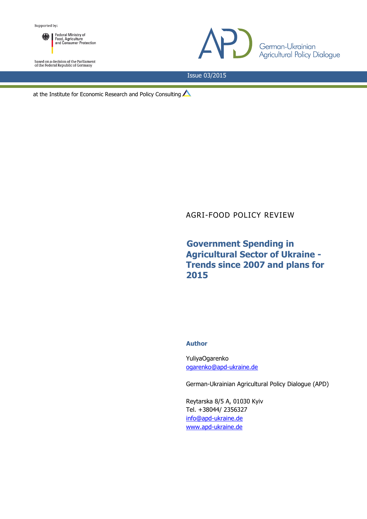Federal Ministry of<br>Food, Agriculture<br>and Consumer Protection ▒ Ⅰ

based on a decision of the Parliament<br>of the Federal Republic of Germany



Issue 03/2015

at the Institute for Economic Research and Policy Consulting  $\triangle$ 

# AGRI-FOOD POLICY REVIEW

# **Government Spending in Agricultural Sector of Ukraine - Trends since 2007 and plans for 2015**

## **Author**

YuliyaOgarenko [ogarenko@apd-ukraine.de](mailto:ogarenko@apd-ukraine.de)

German-Ukrainian Agricultural Policy Dialogue (APD)

Reytarska 8/5 A, 01030 Kyiv Tel. +38044/ 2356327 [info@apd-ukraine.de](mailto:info@apd-ukraine.de) [www.apd-ukraine.de](http://www.apd-ukraine.de/)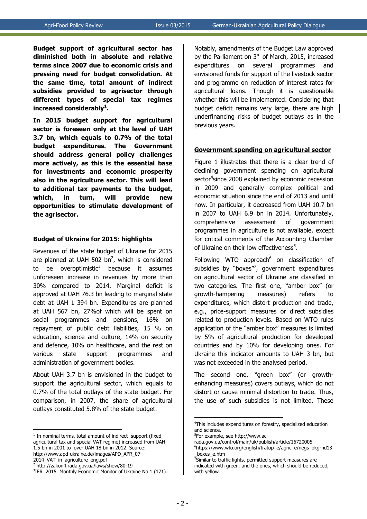**Budget support of agricultural sector has diminished both in absolute and relative terms since 2007 due to economic crisis and pressing need for budget consolidation. At the same time, total amount of indirect subsidies provided to agrisector through different types of special tax regimes increased considerably<sup>1</sup> .**

**In 2015 budget support for agricultural sector is foreseen only at the level of UAH 3.7 bn, which equals to 0.7% of the total budget expenditures. The Government should address general policy challenges more actively, as this is the essential base for investments and economic prosperity also in the agriculture sector. This will lead to additional tax payments to the budget, which, in turn, will provide new opportunities to stimulate development of the agrisector.**

### **Budget of Ukraine for 2015: highlights**

Revenues of the state budget of Ukraine for 2015 are planned at UAH 502 bn<sup>2</sup>, which is considered to be overoptimistic<sup>3</sup> because it assumes unforeseen increase in revenues by more than 30% compared to 2014. Marginal deficit is approved at UAH 76.3 bn leading to marginal state debt at UAH 1 394 bn. Expenditures are planned at UAH 567 bn, 27%of which will be spent on social programmes and pensions, 16% on repayment of public debt liabilities, 15 % on education, science and culture, 14% on security and defence, 10% on healthcare, and the rest on various state support programmes and administration of government bodies.

About UAH 3.7 bn is envisioned in the budget to support the agricultural sector, which equals to 0.7% of the total outlays of the state budget. For comparison, in 2007, the share of agricultural outlays constituted 5.8% of the state budget.

<u>.</u>

Notably, amendments of the Budget Law approved by the Parliament on  $3<sup>rd</sup>$  of March, 2015, increased expenditures on several programmes and envisioned funds for support of the livestock sector and programme on reduction of interest rates for agricultural loans. Though it is questionable whether this will be implemented. Considering that budget deficit remains very large, there are high underfinancing risks of budget outlays as in the previous years.

### **Government spending on agricultural sector**

Figure 1 illustrates that there is a clear trend of declining government spending on agricultural sector<sup>4</sup>since 2008 explained by economic recession in 2009 and generally complex political and economic situation since the end of 2013 and until now. In particular, it decreased from UAH 10.7 bn in 2007 to UAH 6.9 bn in 2014. Unfortunately, comprehensive assessment of government programmes in agriculture is not available, except for critical comments of the Accounting Chamber of Ukraine on their low effectiveness<sup>5</sup>.

Following WTO approach<sup>6</sup> on classification of subsidies by "boxes"<sup>7</sup>, government expenditures on agricultural sector of Ukraine are classified in two categories. The first one, "amber box" (or growth-hampering measures) refers to expenditures, which distort production and trade, e.g., price-support measures or direct subsidies related to production levels. Based on WTO rules application of the "amber box" measures is limited by 5% of agricultural production for developed countries and by 10% for developing ones. For Ukraine this indicator amounts to UAH 3 bn, but was not exceeded in the analysed period.

The second one, "green box" (or growthenhancing measures) covers outlays, which do not distort or cause minimal distortion to trade. Thus, the use of such subsidies is not limited. These

1

<sup>&</sup>lt;sup>1</sup> In nominal terms, total amount of indirect support (fixed agricultural tax and special VAT regime) increased from UAH 1.5 bn in 2001 to over UAH 18 bn in 2012. Source: http://www.apd-ukraine.de/images/APD\_APR\_07- 2014\_VAT\_in\_agriculture\_eng.pdf

<sup>2</sup> http://zakon4.rada.gov.ua/laws/show/80-19

<sup>&</sup>lt;sup>3</sup>IER. 2015. Monthly Economic Monitor of Ukraine No.1 (171).

<sup>&</sup>lt;sup>4</sup>This includes expenditures on forestry, specialized education and science.

<sup>5</sup> For example, see http://www.ac-

rada.gov.ua/control/main/uk/publish/article/16720005

<sup>6</sup> https://www.wto.org/english/tratop\_e/agric\_e/negs\_bkgrnd13 \_boxes\_e.htm

<sup>&</sup>lt;sup>7</sup>Similar to traffic lights, permitted support measures are indicated with green, and the ones, which should be reduced, with yellow.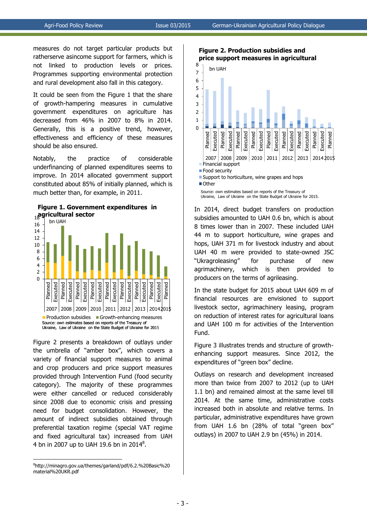measures do not target particular products but ratherserve asincome support for farmers, which is not linked to production levels or prices. Programmes supporting environmental protection and rural development also fall in this category.

It could be seen from the Figure 1 that the share of growth-hampering measures in cumulative government expenditures on agriculture has decreased from 46% in 2007 to 8% in 2014. Generally, this is a positive trend, however, effectiveness and efficiency of these measures should be also ensured.

Notably, the practice of considerable underfinancing of planned expenditures seems to improve. In 2014 allocated government support constituted about 85% of initially planned, which is much better than, for example, in 2011.





Figure 2 presents a breakdown of outlays under the umbrella of "amber box", which covers a variety of financial support measures to animal and crop producers and price support measures provided through Intervention Fund (food security category). The majority of these programmes were either cancelled or reduced considerably since 2008 due to economic crisis and pressing need for budget consolidation. However, the amount of indirect subsidies obtained through preferential taxation regime (special VAT regime and fixed agricultural tax) increased from UAH 4 bn in 2007 up to UAH 19.6 bn in 2014 $^8$ .

1

**Figure 2. Production subsidies and price support measures in agricultural** 



Ukraine, Law of Ukraine on the State Budget of Ukraine for 2015.

In 2014, direct budget transfers on production subsidies amounted to UAH 0.6 bn, which is about 8 times lower than in 2007. These included UAH 44 m to support horticulture, wine grapes and hops, UAH 371 m for livestock industry and about UAH 40 m were provided to state-owned JSC "Ukragroleasing" for purchase of new agrimachinery, which is then provided to producers on the terms of agrileasing.

In the state budget for 2015 about UAH 609 m of financial resources are envisioned to support livestock sector, agrimachinery leasing, program on reduction of interest rates for agricultural loans and UAH 100 m for activities of the Intervention Fund.

Figure 3 illustrates trends and structure of growthenhancing support measures. Since 2012, the expenditures of "green box" decline.

Outlays on research and development increased more than twice from 2007 to 2012 (up to UAH 1.1 bn) and remained almost at the same level till 2014. At the same time, administrative costs increased both in absolute and relative terms. In particular, administrative expenditures have grown from UAH 1.6 bn (28% of total "green box" outlays) in 2007 to UAH 2.9 bn (45%) in 2014.

<sup>8</sup> http://minagro.gov.ua/themes/garland/pdf/6.2.%20Basic%20 material%20UKR.pdf